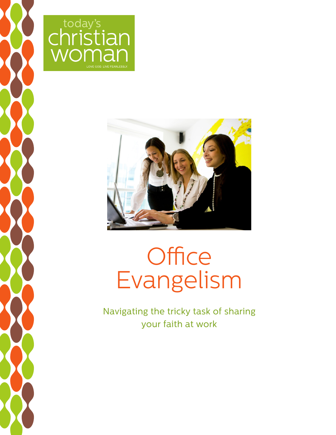





# **Office** Evangelism

Navigating the tricky task of sharing your faith at work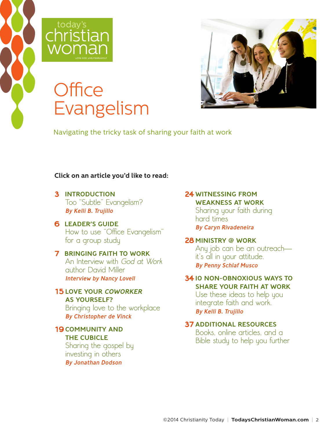



## **Office** Evangelism



Navigating the tricky task of sharing your faith at work

#### **Click on an article you'd like to read:**

**3** [INTRODUCTION](#page-2-0) [Too "Subtle" Evangelism?](#page-2-0)  [By Kelli B. Trujillo](#page-2-0)

**6** [LEADER'S GUIDE](#page-5-0) [How to use "Office Evangelism"](#page-5-0)  [for a group study](#page-5-0)

#### **7** [BRINGING FAITH TO WORK](#page-6-0)  [An Interview with](#page-6-0) God at Work [author David Miller](#page-6-0)  [Interview by Nancy Lovell](#page-6-0)

**15** [LOVE YOUR](#page-14-0) COWORKER [AS YOURSELF?](#page-14-0)  [Bringing love to the workplace](#page-14-0) 

[By Christopher de Vinck](#page-14-0) 

#### **19** [COMMUNITY AND](#page-18-0)  [THE CUBICLE](#page-18-0)  [Sharing the gospel by](#page-18-0)

[investing in others](#page-18-0)  [By Jonathan Dodson](#page-18-0)

### **24** [WITNESSING FROM](#page-23-0)  [WEAKNESS AT WORK](#page-23-0)

[Sharing your faith during](#page-23-0)  [hard times](#page-23-0)  [By Caryn Rivadeneira](#page-23-0) 

#### **28** [MINISTRY @ WORK](#page-27-0)

[Any job can be an outreach](#page-27-0) [it's all in your attitude.](#page-27-0)  [By Penny Schlaf Musco](#page-27-0)

#### **34** [10 NON-OBNOXIOUS WAYS TO](#page-33-0)  [SHARE YOUR FAITH AT WORK](#page-33-0)

[Use these ideas to help you](#page-33-0)  [integrate faith and work.](#page-33-0)  [By Kelli B. Trujillo](#page-33-0)

### **37** [ADDITIONAL RESOURCES](#page-36-0)

[Books, online articles, and a](#page-36-0)  [Bible study to help you further](#page-36-0)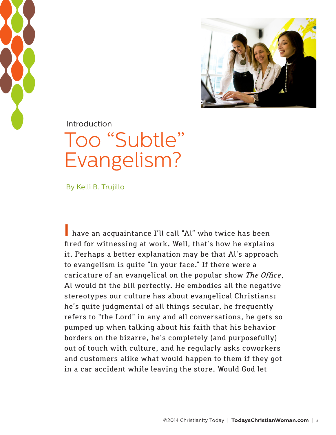<span id="page-2-0"></span>



**Introduction** 

## Too "Subtle" Evangelism?

By Kelli B. Trujillo

**I** have an acquaintance I'll call "Al" who twice has been fired for witnessing at work. Well, that's how he explains it. Perhaps a better explanation may be that Al's approach to evangelism is quite "in your face." If there were a caricature of an evangelical on the popular show *The Office*, Al would fit the bill perfectly. He embodies all the negative stereotypes our culture has about evangelical Christians: he's quite judgmental of all things secular, he frequently refers to "the Lord" in any and all conversations, he gets so pumped up when talking about his faith that his behavior borders on the bizarre, he's completely (and purposefully) out of touch with culture, and he regularly asks coworkers and customers alike what would happen to them if they got in a car accident while leaving the store. Would God let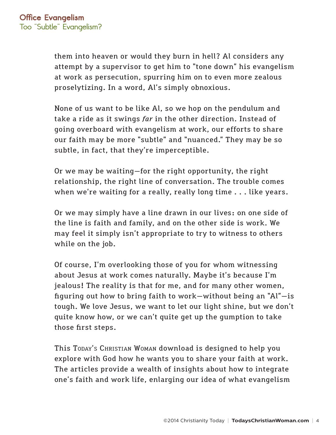them into heaven or would they burn in hell? Al considers any attempt by a supervisor to get him to "tone down" his evangelism at work as persecution, spurring him on to even more zealous proselytizing. In a word, Al's simply obnoxious.

None of us want to be like Al, so we hop on the pendulum and take a ride as it swings *far* in the other direction. Instead of going overboard with evangelism at work, our efforts to share our faith may be more "subtle" and "nuanced." They may be so subtle, in fact, that they're imperceptible.

Or we may be waiting—for the right opportunity, the right relationship, the right line of conversation. The trouble comes when we're waiting for a really, really long time . . . like years.

Or we may simply have a line drawn in our lives: on one side of the line is faith and family, and on the other side is work. We may feel it simply isn't appropriate to try to witness to others while on the job.

Of course, I'm overlooking those of you for whom witnessing about Jesus at work comes naturally. Maybe it's because I'm jealous! The reality is that for me, and for many other women, figuring out how to bring faith to work—without being an "Al"—is tough. We love Jesus, we want to let our light shine, but we don't quite know how, or we can't quite get up the gumption to take those first steps.

This Today's Christian Woman download is designed to help you explore with God how he wants you to share your faith at work. The articles provide a wealth of insights about how to integrate one's faith and work life, enlarging our idea of what evangelism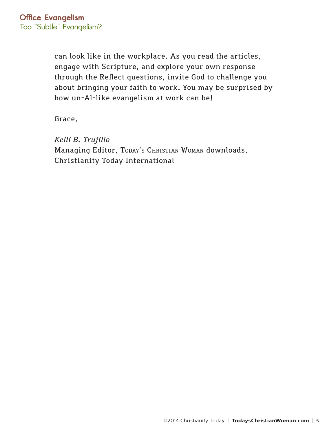can look like in the workplace. As you read the articles, engage with Scripture, and explore your own response through the Reflect questions, invite God to challenge you about bringing your faith to work. You may be surprised by how un-Al-like evangelism at work can be!

Grace,

*Kelli B. Trujillo* Managing Editor, TODAY's CHRISTIAN WOMAN downloads, Christianity Today International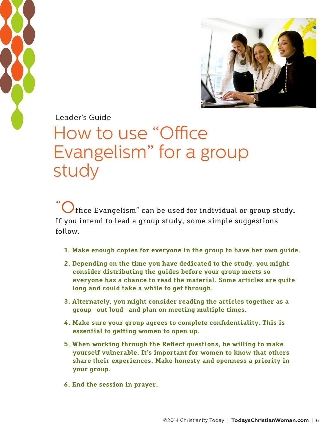<span id="page-5-0"></span>



Leader's Guide

## How to use "Office Evangelism" for a group study

**"O**ffice Evangelism" can be used for individual or group study. If you intend to lead a group study, some simple suggestions follow.

- **1. Make enough copies for everyone in the group to have her own guide.**
- **2. Depending on the time you have dedicated to the study, you might consider distributing the guides before your group meets so everyone has a chance to read the material. Some articles are quite long and could take a while to get through.**
- **3. Alternately, you might consider reading the articles together as a group—out loud—and plan on meeting multiple times.**
- **4. Make sure your group agrees to complete confidentiality. This is essential to getting women to open up.**
- **5. When working through the Reflect questions, be willing to make yourself vulnerable. It's important for women to know that others share their experiences. Make honesty and openness a priority in your group.**
- **6. End the session in prayer.**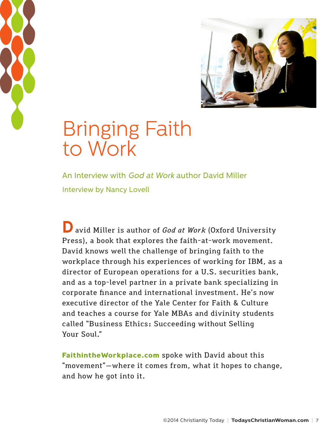<span id="page-6-0"></span>



## Bringing Faith to Work

An Interview with God at Work author David Miller Interview by Nancy Lovell

**D**avid Miller is author of *God at Work* (Oxford University Press), a book that explores the faith-at-work movement. David knows well the challenge of bringing faith to the workplace through his experiences of working for IBM, as a director of European operations for a U.S. securities bank, and as a top-level partner in a private bank specializing in corporate finance and international investment. He's now executive director of the Yale Center for Faith & Culture and teaches a course for Yale MBAs and divinity students called "Business Ethics: Succeeding without Selling Your Soul."

**[FaithintheWorkplace.com](www.FaithintheWorkplace.com)** spoke with David about this "movement"—where it comes from, what it hopes to change, and how he got into it.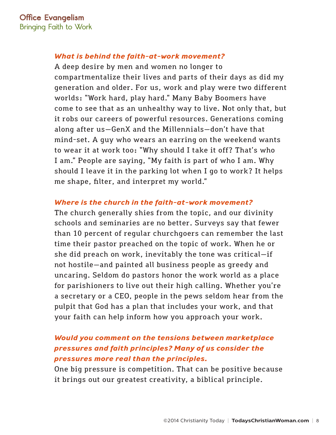### *What is behind the faith-at-work movement?*

A deep desire by men and women no longer to compartmentalize their lives and parts of their days as did my generation and older. For us, work and play were two different worlds: "Work hard, play hard." Many Baby Boomers have come to see that as an unhealthy way to live. Not only that, but it robs our careers of powerful resources. Generations coming along after us—GenX and the Millennials—don't have that mind-set. A guy who wears an earring on the weekend wants to wear it at work too: "Why should I take it off? That's who I am." People are saying, "My faith is part of who I am. Why should I leave it in the parking lot when I go to work? It helps me shape, filter, and interpret my world."

#### *Where is the church in the faith-at-work movement?*

The church generally shies from the topic, and our divinity schools and seminaries are no better. Surveys say that fewer than 10 percent of regular churchgoers can remember the last time their pastor preached on the topic of work. When he or she did preach on work, inevitably the tone was critical—if not hostile—and painted all business people as greedy and uncaring. Seldom do pastors honor the work world as a place for parishioners to live out their high calling. Whether you're a secretary or a CEO, people in the pews seldom hear from the pulpit that God has a plan that includes your work, and that your faith can help inform how you approach your work.

### *Would you comment on the tensions between marketplace pressures and faith principles? Many of us consider the pressures more real than the principles.*

One big pressure is competition. That can be positive because it brings out our greatest creativity, a biblical principle.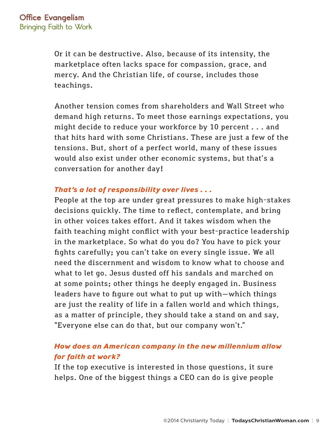Or it can be destructive. Also, because of its intensity, the marketplace often lacks space for compassion, grace, and mercy. And the Christian life, of course, includes those teachings.

Another tension comes from shareholders and Wall Street who demand high returns. To meet those earnings expectations, you might decide to reduce your workforce by 10 percent . . . and that hits hard with some Christians. These are just a few of the tensions. But, short of a perfect world, many of these issues would also exist under other economic systems, but that's a conversation for another day!

### *That's a lot of responsibility over lives . . .*

People at the top are under great pressures to make high-stakes decisions quickly. The time to reflect, contemplate, and bring in other voices takes effort. And it takes wisdom when the faith teaching might conflict with your best-practice leadership in the marketplace. So what do you do? You have to pick your fights carefully; you can't take on every single issue. We all need the discernment and wisdom to know what to choose and what to let go. Jesus dusted off his sandals and marched on at some points; other things he deeply engaged in. Business leaders have to figure out what to put up with—which things are just the reality of life in a fallen world and which things, as a matter of principle, they should take a stand on and say, "Everyone else can do that, but our company won't."

### *How does an American company in the new millennium allow for faith at work?*

If the top executive is interested in those questions, it sure helps. One of the biggest things a CEO can do is give people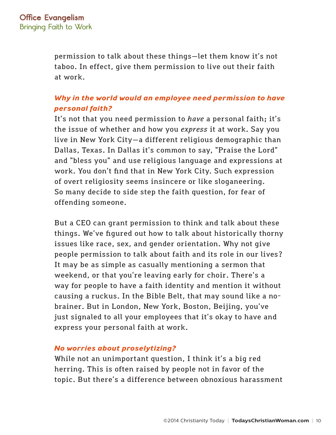permission to talk about these things—let them know it's not taboo. In effect, give them permission to live out their faith at work.

### *Why in the world would an employee need permission to have personal faith?*

It's not that you need permission to *have* a personal faith; it's the issue of whether and how you *express* it at work. Say you live in New York City—a different religious demographic than Dallas, Texas. In Dallas it's common to say, "Praise the Lord" and "bless you" and use religious language and expressions at work. You don't find that in New York City. Such expression of overt religiosity seems insincere or like sloganeering. So many decide to side step the faith question, for fear of offending someone.

But a CEO can grant permission to think and talk about these things. We've figured out how to talk about historically thorny issues like race, sex, and gender orientation. Why not give people permission to talk about faith and its role in our lives? It may be as simple as casually mentioning a sermon that weekend, or that you're leaving early for choir. There's a way for people to have a faith identity and mention it without causing a ruckus. In the Bible Belt, that may sound like a nobrainer. But in London, New York, Boston, Beijing, you've just signaled to all your employees that it's okay to have and express your personal faith at work.

#### *No worries about proselytizing?*

While not an unimportant question, I think it's a big red herring. This is often raised by people not in favor of the topic. But there's a difference between obnoxious harassment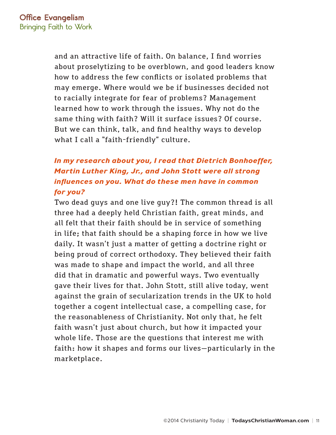and an attractive life of faith. On balance, I find worries about proselytizing to be overblown, and good leaders know how to address the few conflicts or isolated problems that may emerge. Where would we be if businesses decided not to racially integrate for fear of problems? Management learned how to work through the issues. Why not do the same thing with faith? Will it surface issues? Of course. But we can think, talk, and find healthy ways to develop what I call a "faith-friendly" culture.

### *In my research about you, I read that Dietrich Bonhoeffer, Martin Luther King, Jr., and John Stott were all strong influences on you. What do these men have in common for you?*

Two dead guys and one live guy?! The common thread is all three had a deeply held Christian faith, great minds, and all felt that their faith should be in service of something in life; that faith should be a shaping force in how we live daily. It wasn't just a matter of getting a doctrine right or being proud of correct orthodoxy. They believed their faith was made to shape and impact the world, and all three did that in dramatic and powerful ways. Two eventually gave their lives for that. John Stott, still alive today, went against the grain of secularization trends in the UK to hold together a cogent intellectual case, a compelling case, for the reasonableness of Christianity. Not only that, he felt faith wasn't just about church, but how it impacted your whole life. Those are the questions that interest me with faith: how it shapes and forms our lives—particularly in the marketplace.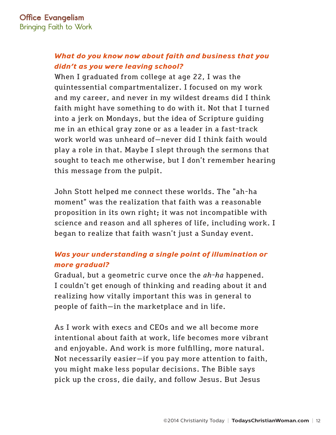### *What do you know now about faith and business that you didn't as you were leaving school?*

When I graduated from college at age 22, I was the quintessential compartmentalizer. I focused on my work and my career, and never in my wildest dreams did I think faith might have something to do with it. Not that I turned into a jerk on Mondays, but the idea of Scripture guiding me in an ethical gray zone or as a leader in a fast-track work world was unheard of—never did I think faith would play a role in that. Maybe I slept through the sermons that sought to teach me otherwise, but I don't remember hearing this message from the pulpit.

John Stott helped me connect these worlds. The "ah-ha moment" was the realization that faith was a reasonable proposition in its own right; it was not incompatible with science and reason and all spheres of life, including work. I began to realize that faith wasn't just a Sunday event.

### *Was your understanding a single point of illumination or more gradual?*

Gradual, but a geometric curve once the *ah-ha* happened. I couldn't get enough of thinking and reading about it and realizing how vitally important this was in general to people of faith—in the marketplace and in life.

As I work with execs and CEOs and we all become more intentional about faith at work, life becomes more vibrant and enjoyable. And work is more fulfilling, more natural. Not necessarily easier—if you pay more attention to faith, you might make less popular decisions. The Bible says pick up the cross, die daily, and follow Jesus. But Jesus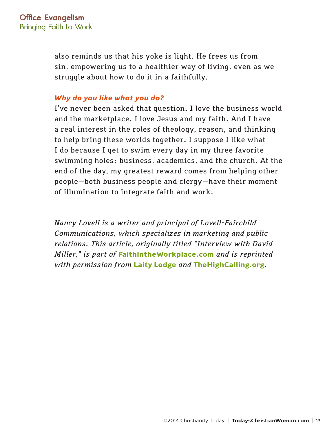also reminds us that his yoke is light. He frees us from sin, empowering us to a healthier way of living, even as we struggle about how to do it in a faithfully.

#### *Why do you like what you do?*

I've never been asked that question. I love the business world and the marketplace. I love Jesus and my faith. And I have a real interest in the roles of theology, reason, and thinking to help bring these worlds together. I suppose I like what I do because I get to swim every day in my three favorite swimming holes: business, academics, and the church. At the end of the day, my greatest reward comes from helping other people—both business people and clergy—have their moment of illumination to integrate faith and work.

*Nancy Lovell is a writer and principal of Lovell-Fairchild Communications, which specializes in marketing and public relations. This article, originally titled "Interview with David Miller," is part of* **[FaithintheWorkplace.com](www.FaithintheWorkplace.com)** *and is reprinted with permission from* **[Laity Lodge](www.laitylodge.org)** *and* **[TheHighCalling.org](www.TheHighCalling.org)***.*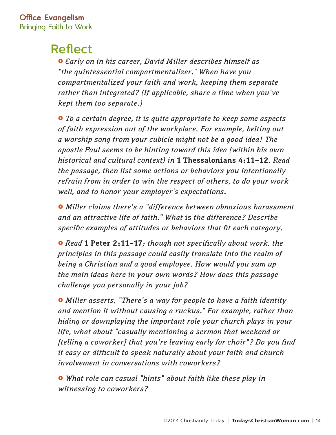## Reflect

£ *Early on in his career, David Miller describes himself as "the quintessential compartmentalizer." When have you compartmentalized your faith and work, keeping them separate rather than integrated? (If applicable, share a time when you've kept them too separate.)*

£ *To a certain degree, it is quite appropriate to keep some aspects of faith expression out of the workplace. For example, belting out a worship song from your cubicle might not be a good idea! The apostle Paul seems to be hinting toward this idea (within his own historical and cultural context) in* **1 Thessalonians 4:11–12***. Read the passage, then list some actions or behaviors you intentionally refrain from in order to win the respect of others, to do your work well, and to honor your employer's expectations.*

 $\bullet$  *Miller claims there's a "difference between obnoxious harassment and an attractive life of faith." What* is *the difference? Describe specific examples of attitudes or behaviors that fit each category.*

£ *Read* **1 Peter 2:11–17***; though not specifically about work, the principles in this passage could easily translate into the realm of being a Christian and a good employee. How would you sum up the main ideas here in your own words? How does this passage challenge you personally in your job?*

£ *Miller asserts, "There's a way for people to have a faith identity and mention it without causing a ruckus." For example, rather than hiding or downplaying the important role your church plays in your life, what about "casually mentioning a sermon that weekend or [telling a coworker] that you're leaving early for choir"? Do you find it easy or difficult to speak naturally about your faith and church involvement in conversations with coworkers?* 

£ *What role can casual "hints" about faith like these play in witnessing to coworkers?*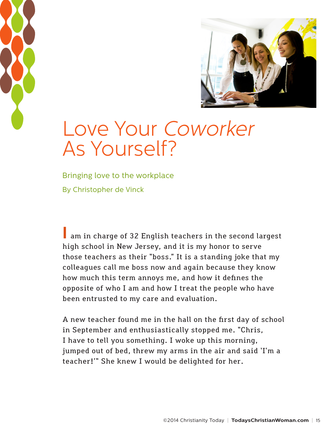<span id="page-14-0"></span>



## Love Your Coworker As Yourself?

Bringing love to the workplace By Christopher de Vinck

**I** am in charge of 32 English teachers in the second largest high school in New Jersey, and it is my honor to serve those teachers as their "boss." It is a standing joke that my colleagues call me boss now and again because they know how much this term annoys me, and how it defines the opposite of who I am and how I treat the people who have been entrusted to my care and evaluation.

A new teacher found me in the hall on the first day of school in September and enthusiastically stopped me. "Chris, I have to tell you something. I woke up this morning, jumped out of bed, threw my arms in the air and said 'I'm a teacher!'" She knew I would be delighted for her.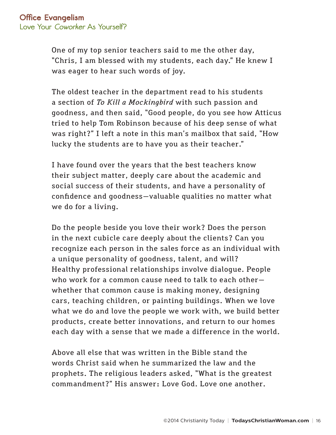One of my top senior teachers said to me the other day, "Chris, I am blessed with my students, each day." He knew I was eager to hear such words of joy.

The oldest teacher in the department read to his students a section of *To Kill a Mockingbird* with such passion and goodness, and then said, "Good people, do you see how Atticus tried to help Tom Robinson because of his deep sense of what was right?" I left a note in this man's mailbox that said, "How lucky the students are to have you as their teacher."

I have found over the years that the best teachers know their subject matter, deeply care about the academic and social success of their students, and have a personality of confidence and goodness—valuable qualities no matter what we do for a living.

Do the people beside you love their work? Does the person in the next cubicle care deeply about the clients? Can you recognize each person in the sales force as an individual with a unique personality of goodness, talent, and will? Healthy professional relationships involve dialogue. People who work for a common cause need to talk to each other whether that common cause is making money, designing cars, teaching children, or painting buildings. When we love what we do and love the people we work with, we build better products, create better innovations, and return to our homes each day with a sense that we made a difference in the world.

Above all else that was written in the Bible stand the words Christ said when he summarized the law and the prophets. The religious leaders asked, "What is the greatest commandment?" His answer: Love God. Love one another.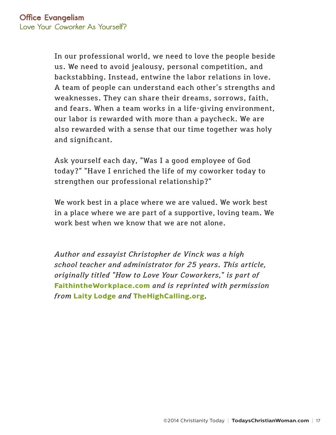In our professional world, we need to love the people beside us. We need to avoid jealousy, personal competition, and backstabbing. Instead, entwine the labor relations in love. A team of people can understand each other's strengths and weaknesses. They can share their dreams, sorrows, faith, and fears. When a team works in a life-giving environment, our labor is rewarded with more than a paycheck. We are also rewarded with a sense that our time together was holy and significant.

Ask yourself each day, "Was I a good employee of God today?" "Have I enriched the life of my coworker today to strengthen our professional relationship?"

We work best in a place where we are valued. We work best in a place where we are part of a supportive, loving team. We work best when we know that we are not alone.

*Author and essayist Christopher de Vinck was a high school teacher and administrator for 25 years. This article, originally titled "How to Love Your Coworkers," is part of*  **[FaithintheWorkplace.com](www.FaithintheWorkplace.com)** *and is reprinted with permission from* **[Laity Lodge](www.laitylodge.org)** *and* **[TheHighCalling.org](www.TheHighCalling.org)***.*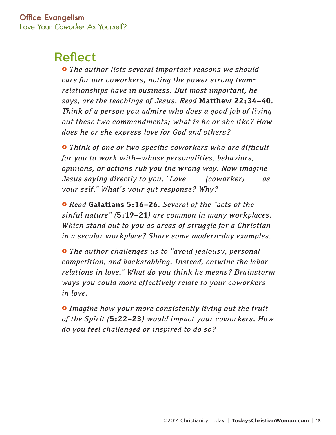## Reflect

 $\bullet$  *The author lists several important reasons we should care for our coworkers, noting the power strong teamrelationships have in business. But most important, he says, are the teachings of Jesus. Read* **Matthew 22:34–40***. Think of a person you admire who does a good job of living out these two commandments; what is he or she like? How does he or she express love for God and others?* 

£ *Think of one or two specific coworkers who are difficult for you to work with—whose personalities, behaviors, opinions, or actions rub you the wrong way. Now imagine Jesus saying directly to you, "Love (coworker) as your self." What's your gut response? Why?*

£ *Read* **Galatians 5:16–26***. Several of the "acts of the sinful nature" (***5:19–21***) are common in many workplaces. Which stand out to you as areas of struggle for a Christian in a secular workplace? Share some modern-day examples.*

£ *The author challenges us to "avoid jealousy, personal competition, and backstabbing. Instead, entwine the labor relations in love." What do you think he means? Brainstorm ways you could more effectively relate to your coworkers in love.*

£ *Imagine how your more consistently living out the fruit of the Spirit (***5:22–23***) would impact your coworkers. How do you feel challenged or inspired to do so?*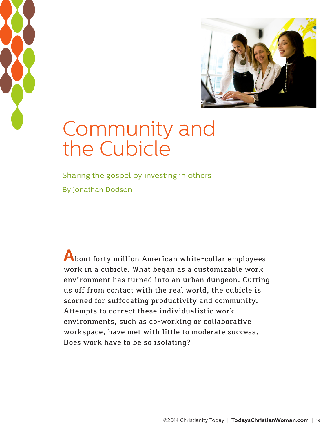<span id="page-18-0"></span>



## Community and the Cubicle

Sharing the gospel by investing in others By Jonathan Dodson

**A**bout forty million American white-collar employees work in a cubicle. What began as a customizable work environment has turned into an urban dungeon. Cutting us off from contact with the real world, the cubicle is scorned for suffocating productivity and community. Attempts to correct these individualistic work environments, such as co-working or collaborative workspace, have met with little to moderate success. Does work have to be so isolating?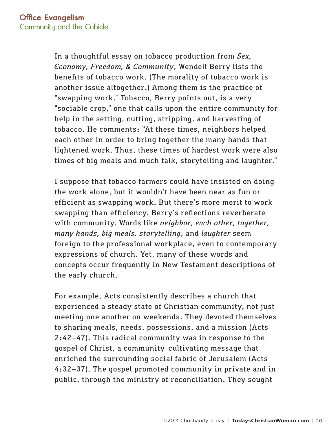In a thoughtful essay on tobacco production from *Sex, Economy, Freedom, & Community*, Wendell Berry lists the benefits of tobacco work. (The morality of tobacco work is another issue altogether.) Among them is the practice of "swapping work." Tobacco, Berry points out, is a very "sociable crop," one that calls upon the entire community for help in the setting, cutting, stripping, and harvesting of tobacco. He comments: "At these times, neighbors helped each other in order to bring together the many hands that lightened work. Thus, these times of hardest work were also times of big meals and much talk, storytelling and laughter."

I suppose that tobacco farmers could have insisted on doing the work alone, but it wouldn't have been near as fun or efficient as swapping work. But there's more merit to work swapping than efficiency. Berry's reflections reverberate with community. Words like *neighbor, each other, together, many hands, big meals, storytelling*, and *laughter* seem foreign to the professional workplace, even to contemporary expressions of church. Yet, many of these words and concepts occur frequently in New Testament descriptions of the early church.

For example, Acts consistently describes a church that experienced a steady state of Christian community, not just meeting one another on weekends. They devoted themselves to sharing meals, needs, possessions, and a mission (Acts 2:42–47). This radical community was in response to the gospel of Christ, a community-cultivating message that enriched the surrounding social fabric of Jerusalem (Acts 4:32–37). The gospel promoted community in private and in public, through the ministry of reconciliation. They sought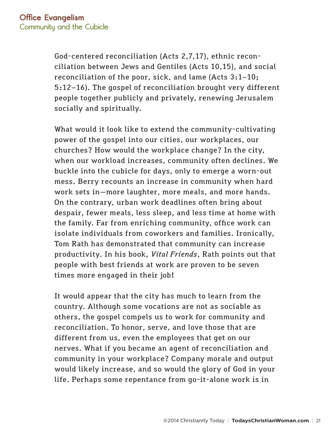God-centered reconciliation (Acts 2,7,17), ethnic reconciliation between Jews and Gentiles (Acts 10,15), and social reconciliation of the poor, sick, and lame (Acts 3:1–10; 5:12–16). The gospel of reconciliation brought very different people together publicly and privately, renewing Jerusalem socially and spiritually.

What would it look like to extend the community-cultivating power of the gospel into our cities, our workplaces, our churches? How would the workplace change? In the city, when our workload increases, community often declines. We buckle into the cubicle for days, only to emerge a worn-out mess. Berry recounts an increase in community when hard work sets in—more laughter, more meals, and more hands. On the contrary, urban work deadlines often bring about despair, fewer meals, less sleep, and less time at home with the family. Far from enriching community, office work can isolate individuals from coworkers and families. Ironically, Tom Rath has demonstrated that community can increase productivity. In his book, *Vital Friends*, Rath points out that people with best friends at work are proven to be seven times more engaged in their job!

It would appear that the city has much to learn from the country. Although some vocations are not as sociable as others, the gospel compels us to work for community and reconciliation. To honor, serve, and love those that are different from us, even the employees that get on our nerves. What if you became an agent of reconciliation and community in your workplace? Company morale and output would likely increase, and so would the glory of God in your life. Perhaps some repentance from go-it-alone work is in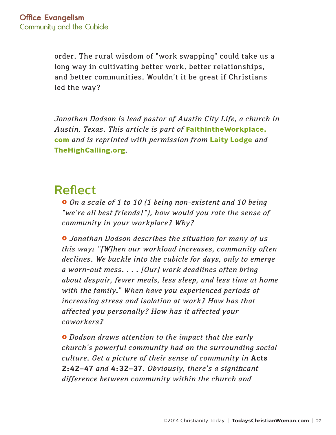order. The rural wisdom of "work swapping" could take us a long way in cultivating better work, better relationships, and better communities. Wouldn't it be great if Christians led the way?

*Jonathan Dodson is lead pastor of Austin City Life, a church in Austin, Texas. This article is part of* **[FaithintheWorkplace.](www.FaithintheWorkplace.com) [com](www.FaithintheWorkplace.com)** *and is reprinted with permission from* **[Laity Lodge](www.laitylodge.org)** *and*  **[TheHighCalling.org](www.TheHighCalling.org)***.* 

## Reflect

 $\bullet$  *On a scale of 1 to 10 (1 being non-existent and 10 being "we're all best friends!"), how would you rate the sense of community in your workplace? Why?*

£ *Jonathan Dodson describes the situation for many of us this way: "[W]hen our workload increases, community often declines. We buckle into the cubicle for days, only to emerge a worn-out mess. . . . [Our] work deadlines often bring about despair, fewer meals, less sleep, and less time at home with the family." When have you experienced periods of increasing stress and isolation at work? How has that affected you personally? How has it affected your coworkers?*

£ *Dodson draws attention to the impact that the early church's powerful community had on the surrounding social culture. Get a picture of their sense of community in* **Acts 2:42–47** *and* **4:32–37***. Obviously, there's a significant difference between community within the church and*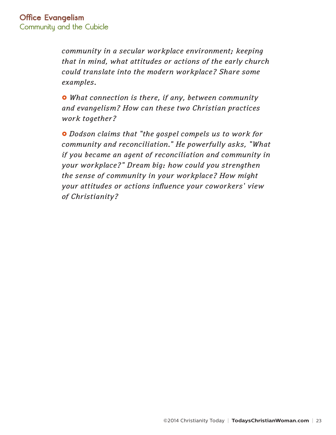*community in a secular workplace environment; keeping that in mind, what attitudes or actions of the early church could translate into the modern workplace? Share some examples.*

£ *What connection is there, if any, between community and evangelism? How can these two Christian practices work together?*

£ *Dodson claims that "the gospel compels us to work for community and reconciliation." He powerfully asks, "What if you became an agent of reconciliation and community in your workplace?" Dream big: how could you strengthen the sense of community in your workplace? How might your attitudes or actions influence your coworkers' view of Christianity?*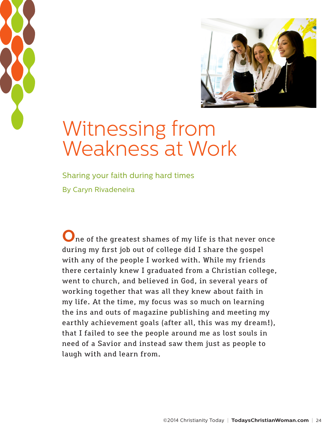<span id="page-23-0"></span>



## Witnessing from Weakness at Work

Sharing your faith during hard times By Caryn Rivadeneira

**O**ne of the greatest shames of my life is that never once during my first job out of college did I share the gospel with any of the people I worked with. While my friends there certainly knew I graduated from a Christian college, went to church, and believed in God, in several years of working together that was all they knew about faith in my life. At the time, my focus was so much on learning the ins and outs of magazine publishing and meeting my earthly achievement goals (after all, this was my dream!), that I failed to see the people around me as lost souls in need of a Savior and instead saw them just as people to laugh with and learn from.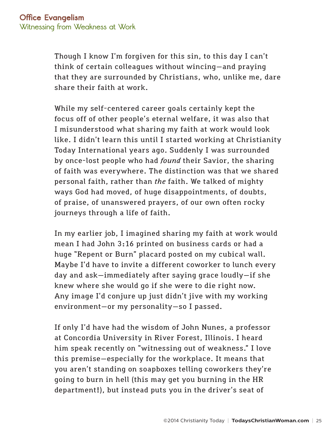Though I know I'm forgiven for this sin, to this day I can't think of certain colleagues without wincing—and praying that they are surrounded by Christians, who, unlike me, dare share their faith at work.

While my self-centered career goals certainly kept the focus off of other people's eternal welfare, it was also that I misunderstood what sharing my faith at work would look like. I didn't learn this until I started working at Christianity Today International years ago. Suddenly I was surrounded by once-lost people who had *found* their Savior, the sharing of faith was everywhere. The distinction was that we shared personal faith, rather than *the* faith. We talked of mighty ways God had moved, of huge disappointments, of doubts, of praise, of unanswered prayers, of our own often rocky journeys through a life of faith.

In my earlier job, I imagined sharing my faith at work would mean I had John 3:16 printed on business cards or had a huge "Repent or Burn" placard posted on my cubical wall. Maybe I'd have to invite a different coworker to lunch every day and ask—immediately after saying grace loudly—if she knew where she would go if she were to die right now. Any image I'd conjure up just didn't jive with my working environment—or my personality—so I passed.

If only I'd have had the wisdom of John Nunes, a professor at Concordia University in River Forest, Illinois. I heard him speak recently on "witnessing out of weakness." I love this premise—especially for the workplace. It means that you aren't standing on soapboxes telling coworkers they're going to burn in hell (this may get you burning in the HR department!), but instead puts you in the driver's seat of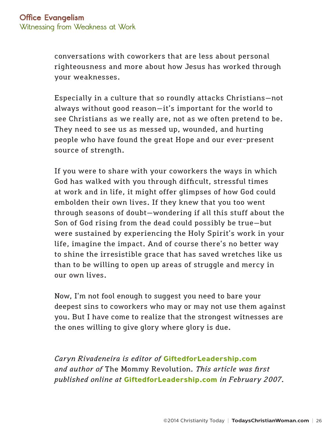conversations with coworkers that are less about personal righteousness and more about how Jesus has worked through your weaknesses.

Especially in a culture that so roundly attacks Christians—not always without good reason—it's important for the world to see Christians as we really are, not as we often pretend to be. They need to see us as messed up, wounded, and hurting people who have found the great Hope and our ever-present source of strength.

If you were to share with your coworkers the ways in which God has walked with you through difficult, stressful times at work and in life, it might offer glimpses of how God could embolden their own lives. If they knew that you too went through seasons of doubt—wondering if all this stuff about the Son of God rising from the dead could possibly be true—but were sustained by experiencing the Holy Spirit's work in your life, imagine the impact. And of course there's no better way to shine the irresistible grace that has saved wretches like us than to be willing to open up areas of struggle and mercy in our own lives.

Now, I'm not fool enough to suggest you need to bare your deepest sins to coworkers who may or may not use them against you. But I have come to realize that the strongest witnesses are the ones willing to give glory where glory is due.

*Caryn Rivadeneira is editor of* **[GiftedforLeadership.com](www.GiftedforLeadership.com)** *and author of* The Mommy Revolution*. This article was first published online at* **[GiftedforLeadership.com](www.GiftedforLeadership.com)** *in February 2007.*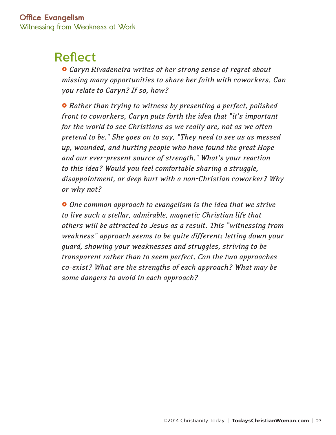## Reflect

£ *Caryn Rivadeneira writes of her strong sense of regret about missing many opportunities to share her faith with coworkers. Can you relate to Caryn? If so, how?*

 $\bullet$  Rather than trying to witness by presenting a perfect, polished *front to coworkers, Caryn puts forth the idea that "it's important for the world to see Christians as we really are, not as we often pretend to be." She goes on to say, "They need to see us as messed up, wounded, and hurting people who have found the great Hope and our ever-present source of strength." What's your reaction to this idea? Would you feel comfortable sharing a struggle, disappointment, or deep hurt with a non-Christian coworker? Why or why not?*

£ *One common approach to evangelism is the idea that we strive to live such a stellar, admirable, magnetic Christian life that others will be attracted to Jesus as a result. This "witnessing from weakness" approach seems to be quite different: letting down your guard, showing your weaknesses and struggles, striving to be transparent rather than to seem perfect. Can the two approaches co-exist? What are the strengths of each approach? What may be some dangers to avoid in each approach?*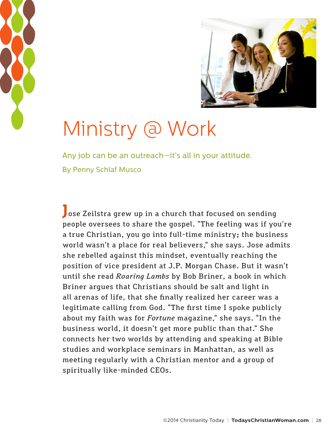<span id="page-27-0"></span>



# Ministry @ Work

Any job can be an outreach—it's all in your attitude. By Penny Schlaf Musco

**J**ose Zeilstra grew up in a church that focused on sending people oversees to share the gospel. "The feeling was if you're a true Christian, you go into full-time ministry; the business world wasn't a place for real believers," she says. Jose admits she rebelled against this mindset, eventually reaching the position of vice president at J.P. Morgan Chase. But it wasn't until she read *Roaring Lambs* by Bob Briner, a book in which Briner argues that Christians should be salt and light in all arenas of life, that she finally realized her career was a legitimate calling from God. "The first time I spoke publicly about my faith was for *Fortune* magazine," she says. "In the business world, it doesn't get more public than that." She connects her two worlds by attending and speaking at Bible studies and workplace seminars in Manhattan, as well as meeting regularly with a Christian mentor and a group of spiritually like-minded CEOs.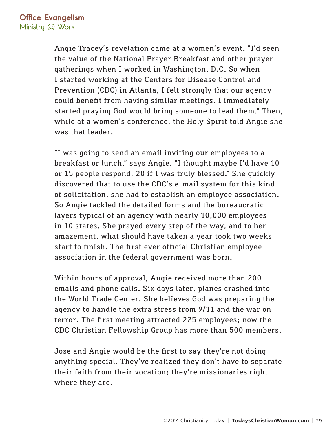Angie Tracey's revelation came at a women's event. "I'd seen the value of the National Prayer Breakfast and other prayer gatherings when I worked in Washington, D.C. So when I started working at the Centers for Disease Control and Prevention (CDC) in Atlanta, I felt strongly that our agency could benefit from having similar meetings. I immediately started praying God would bring someone to lead them." Then, while at a women's conference, the Holy Spirit told Angie she was that leader.

"I was going to send an email inviting our employees to a breakfast or lunch," says Angie. "I thought maybe I'd have 10 or 15 people respond, 20 if I was truly blessed." She quickly discovered that to use the CDC's e-mail system for this kind of solicitation, she had to establish an employee association. So Angie tackled the detailed forms and the bureaucratic layers typical of an agency with nearly 10,000 employees in 10 states. She prayed every step of the way, and to her amazement, what should have taken a year took two weeks start to finish. The first ever official Christian employee association in the federal government was born.

Within hours of approval, Angie received more than 200 emails and phone calls. Six days later, planes crashed into the World Trade Center. She believes God was preparing the agency to handle the extra stress from 9/11 and the war on terror. The first meeting attracted 225 employees; now the CDC Christian Fellowship Group has more than 500 members.

Jose and Angie would be the first to say they're not doing anything special. They've realized they don't have to separate their faith from their vocation; they're missionaries right where they are.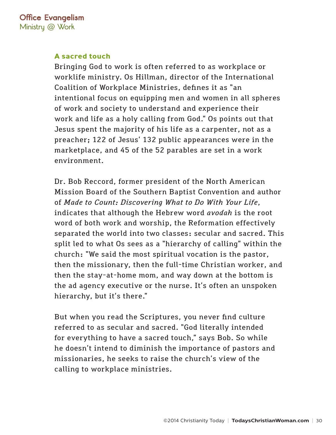#### **A sacred touch**

Bringing God to work is often referred to as workplace or worklife ministry. Os Hillman, director of the International Coalition of Workplace Ministries, defines it as "an intentional focus on equipping men and women in all spheres of work and society to understand and experience their work and life as a holy calling from God." Os points out that Jesus spent the majority of his life as a carpenter, not as a preacher; 122 of Jesus' 132 public appearances were in the marketplace, and 45 of the 52 parables are set in a work environment.

Dr. Bob Reccord, former president of the North American Mission Board of the Southern Baptist Convention and author of *Made to Count: Discovering What to Do With Your Life*, indicates that although the Hebrew word *avodah* is the root word of both work and worship, the Reformation effectively separated the world into two classes: secular and sacred. This split led to what Os sees as a "hierarchy of calling" within the church: "We said the most spiritual vocation is the pastor, then the missionary, then the full-time Christian worker, and then the stay-at-home mom, and way down at the bottom is the ad agency executive or the nurse. It's often an unspoken hierarchy, but it's there."

But when you read the Scriptures, you never find culture referred to as secular and sacred. "God literally intended for everything to have a sacred touch," says Bob. So while he doesn't intend to diminish the importance of pastors and missionaries, he seeks to raise the church's view of the calling to workplace ministries.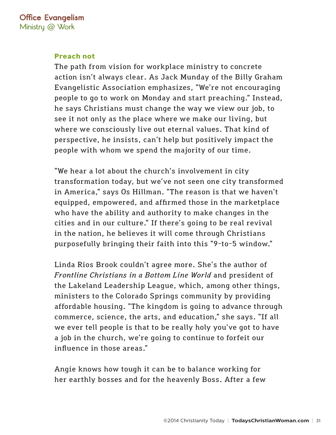#### **Preach not**

The path from vision for workplace ministry to concrete action isn't always clear. As Jack Munday of the Billy Graham Evangelistic Association emphasizes, "We're not encouraging people to go to work on Monday and start preaching." Instead, he says Christians must change the way we view our job, to see it not only as the place where we make our living, but where we consciously live out eternal values. That kind of perspective, he insists, can't help but positively impact the people with whom we spend the majority of our time.

"We hear a lot about the church's involvement in city transformation today, but we've not seen one city transformed in America," says Os Hillman. "The reason is that we haven't equipped, empowered, and affirmed those in the marketplace who have the ability and authority to make changes in the cities and in our culture." If there's going to be real revival in the nation, he believes it will come through Christians purposefully bringing their faith into this "9-to-5 window."

Linda Rios Brook couldn't agree more. She's the author of *Frontline Christians in a Bottom Line World* and president of the Lakeland Leadership League, which, among other things, ministers to the Colorado Springs community by providing affordable housing. "The kingdom is going to advance through commerce, science, the arts, and education," she says. "If all we ever tell people is that to be really holy you've got to have a job in the church, we're going to continue to forfeit our influence in those areas."

Angie knows how tough it can be to balance working for her earthly bosses and for the heavenly Boss. After a few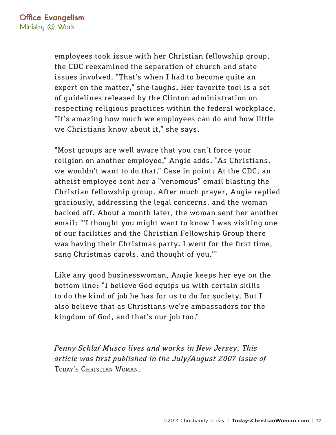employees took issue with her Christian fellowship group, the CDC reexamined the separation of church and state issues involved. "That's when I had to become quite an expert on the matter," she laughs. Her favorite tool is a set of guidelines released by the Clinton administration on respecting religious practices within the federal workplace. "It's amazing how much we employees can do and how little we Christians know about it," she says.

"Most groups are well aware that you can't force your religion on another employee," Angie adds. "As Christians, we wouldn't want to do that." Case in point: At the CDC, an atheist employee sent her a "venomous" email blasting the Christian fellowship group. After much prayer, Angie replied graciously, addressing the legal concerns, and the woman backed off. About a month later, the woman sent her another email: "'I thought you might want to know I was visiting one of our facilities and the Christian Fellowship Group there was having their Christmas party. I went for the first time, sang Christmas carols, and thought of you.'"

Like any good businesswoman, Angie keeps her eye on the bottom line: "I believe God equips us with certain skills to do the kind of job he has for us to do for society. But I also believe that as Christians we're ambassadors for the kingdom of God, and that's our job too."

*Penny Schlaf Musco lives and works in New Jersey. This article was first published in the July/August 2007 issue of*  Today's Christian Woman*.*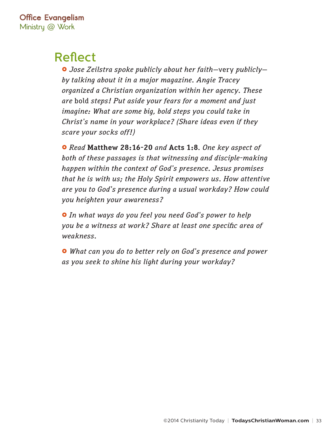## Reflect

£ *Jose Zeilstra spoke publicly about her faith—*very *publicly by talking about it in a major magazine. Angie Tracey organized a Christian organization within her agency. These are* bold *steps! Put aside your fears for a moment and just imagine: What are some big, bold steps you could take in Christ's name in your workplace? (Share ideas even if they scare your socks off!)*

£ *Read* **Matthew 28:16-20** *and* **Acts 1:8***. One key aspect of both of these passages is that witnessing and disciple-making happen within the context of God's presence. Jesus promises that he is with us; the Holy Spirit empowers us. How attentive are you to God's presence during a usual workday? How could you heighten your awareness?*

£ *In what ways do you feel you need God's power to help you be a witness at work? Share at least one specific area of weakness.*

£ *What can you do to better rely on God's presence and power as you seek to shine his light during your workday?*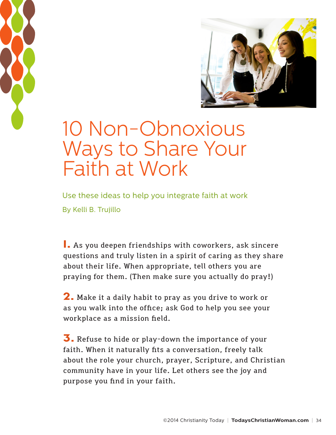<span id="page-33-0"></span>



## 10 Non-Obnoxious Ways to Share Your Faith at Work

Use these ideas to help you integrate faith at work By Kelli B. Trujillo

**1.** As you deepen friendships with coworkers, ask sincere questions and truly listen in a spirit of caring as they share about their life. When appropriate, tell others you are praying for them. (Then make sure you actually do pray!)

**2.** Make it a daily habit to pray as you drive to work or as you walk into the office; ask God to help you see your workplace as a mission field.

**3.** Refuse to hide or play-down the importance of your faith. When it naturally fits a conversation, freely talk about the role your church, prayer, Scripture, and Christian community have in your life. Let others see the joy and purpose you find in your faith.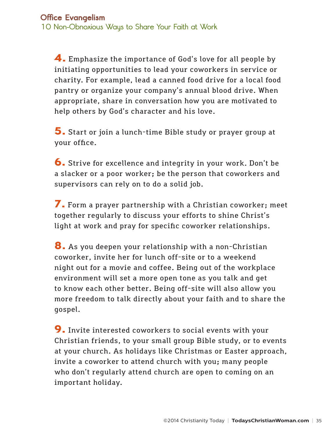**4.** Emphasize the importance of God's love for all people by initiating opportunities to lead your coworkers in service or charity. For example, lead a canned food drive for a local food pantry or organize your company's annual blood drive. When appropriate, share in conversation how you are motivated to help others by God's character and his love.

**5.** Start or join a lunch-time Bible study or prayer group at your office.

**6.** Strive for excellence and integrity in your work. Don't be a slacker or a poor worker; be the person that coworkers and supervisors can rely on to do a solid job.

**7.** Form a prayer partnership with a Christian coworker; meet together regularly to discuss your efforts to shine Christ's light at work and pray for specific coworker relationships.

**8.** As you deepen your relationship with a non-Christian coworker, invite her for lunch off-site or to a weekend night out for a movie and coffee. Being out of the workplace environment will set a more open tone as you talk and get to know each other better. Being off-site will also allow you more freedom to talk directly about your faith and to share the gospel.

**9.** Invite interested coworkers to social events with your Christian friends, to your small group Bible study, or to events at your church. As holidays like Christmas or Easter approach, invite a coworker to attend church with you; many people who don't regularly attend church are open to coming on an important holiday.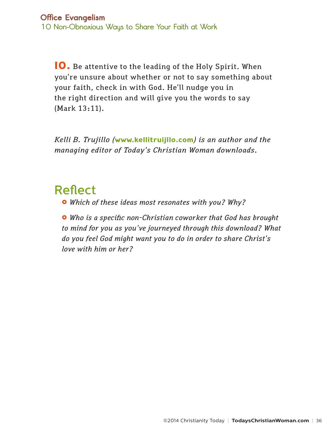**10.** Be attentive to the leading of the Holy Spirit. When you're unsure about whether or not to say something about your faith, check in with God. He'll nudge you in the right direction and will give you the words to say (Mark 13:11).

*Kelli B. Trujillo (***<www.kellitruijllo.com>***) is an author and the managing editor of Today's Christian Woman downloads.*

## Reflect

£ *Which of these ideas most resonates with you? Why?*

£ *Who is a specific non-Christian coworker that God has brought to mind for you as you've journeyed through this download? What do you feel God might want you to do in order to share Christ's love with him or her?*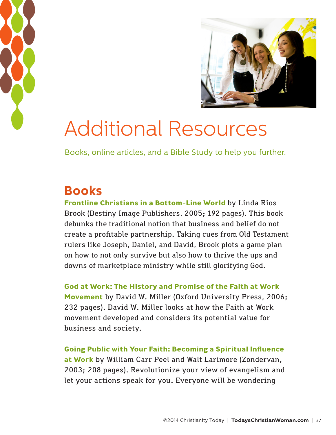<span id="page-36-0"></span>



## Additional Resources

Books, online articles, and a Bible Study to help you further.

## **Books**

**[Frontline Christians in a Bottom-Line World](http://www.amazon.com/Frontline-Christians-Bottom-Line-World/dp/0768429668/ref=sr_1_2?ie=UTF8&s=books&qid=1278685949&sr=1-2)** by Linda Rios Brook (Destiny Image Publishers, 2005; 192 pages). This book debunks the traditional notion that business and belief do not create a profitable partnership. Taking cues from Old Testament rulers like Joseph, Daniel, and David, Brook plots a game plan on how to not only survive but also how to thrive the ups and downs of marketplace ministry while still glorifying God.

**[God at Work: The History and Promise of the Faith at Work](http://www.amazon.com/God-Work-History-Promise-Movement/dp/0195314808/ref=sr_1_3?ie=UTF8&s=books&qid=1278685560&sr=8-3)  [Movement](http://www.amazon.com/God-Work-History-Promise-Movement/dp/0195314808/ref=sr_1_3?ie=UTF8&s=books&qid=1278685560&sr=8-3)** by David W. Miller (Oxford University Press, 2006; 232 pages). David W. Miller looks at how the Faith at Work movement developed and considers its potential value for business and society.

**[Going Public with Your Faith: Becoming a Spiritual Influence](http://www.christianbook.com/going-public-faith-becoming-spiritual-influence/william-peel/9780310246091/pd/46093?p=1004924)  [at Work](http://www.christianbook.com/going-public-faith-becoming-spiritual-influence/william-peel/9780310246091/pd/46093?p=1004924)** by William Carr Peel and Walt Larimore (Zondervan, 2003; 208 pages). Revolutionize your view of evangelism and let your actions speak for you. Everyone will be wondering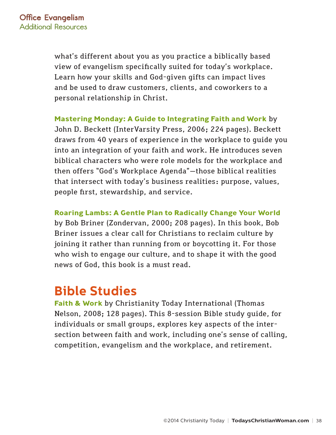what's different about you as you practice a biblically based view of evangelism specifically suited for today's workplace. Learn how your skills and God-given gifts can impact lives and be used to draw customers, clients, and coworkers to a personal relationship in Christ.

**[Mastering Monday: A Guide to Integrating Faith and Work](http://www.christianbook.com/mastering-monday-guide-integrating-faith-work/john-beckett/9780830833856/pd/833854)** by John D. Beckett (InterVarsity Press, 2006; 224 pages). Beckett draws from 40 years of experience in the workplace to guide you into an integration of your faith and work. He introduces seven biblical characters who were role models for the workplace and then offers "God's Workplace Agenda"—those biblical realities that intersect with today's business realities: purpose, values, people first, stewardship, and service.

**[Roaring Lambs: A Gentle Plan to Radically Change Your World](http://www.christianbook.com/roaring-lambs-gentle-radically-change-world/bob-briner/9780310591115/pd/59111)**  by Bob Briner (Zondervan, 2000; 208 pages). In this book, Bob Briner issues a clear call for Christians to reclaim culture by joining it rather than running from or boycotting it. For those who wish to engage our culture, and to shape it with the good news of God, this book is a must read.

## **Bible Studies**

**[Faith & Work](http://www.christianbook.com/christianity-today-study-series-faith-work/christianity-today-institute/9781418534257/pd/534257)** by Christianity Today International (Thomas Nelson, 2008; 128 pages). This 8-session Bible study guide, for individuals or small groups, explores key aspects of the intersection between faith and work, including one's sense of calling, competition, evangelism and the workplace, and retirement.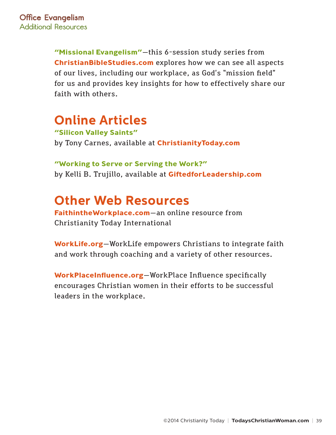**["Missional Evangelism"](http://biblestudies.stores.yahoo.net/miev.html)**—this 6-session study series from **[ChristianBibleStudies.com](www.ChristianBibleStudies.com)** explores how we can see all aspects of our lives, including our workplace, as God's "mission field" for us and provides key insights for how to effectively share our faith with others.

## **Online Articles**

**["Silicon Valley Saints"](http://www.christianitytoday.com/ct/2001/august6/1.34.html)** by Tony Carnes, available at **[ChristianityToday.com](www.ChristianityToday.com)**

**["Working to Serve or Serving the Work?"](http://blog.kyria.com/giftedforleadership/2007/09/working_to_serve_or_serving_th.html)** by Kelli B. Trujillo, available at **[GiftedforLeadership.com](www.GiftedforLeadership.com)**

## **Other Web Resources**

**[FaithintheWorkplace.com](www.FaithintheWorkplace.com)**—an online resource from Christianity Today International

**[WorkLife.org](www.WorkLife.org)**—WorkLife empowers Christians to integrate faith and work through coaching and a variety of other resources.

**[WorkPlaceInfluence.org](www.WorkPlaceInfluence.org)**—WorkPlace Influence specifically encourages Christian women in their efforts to be successful leaders in the workplace.